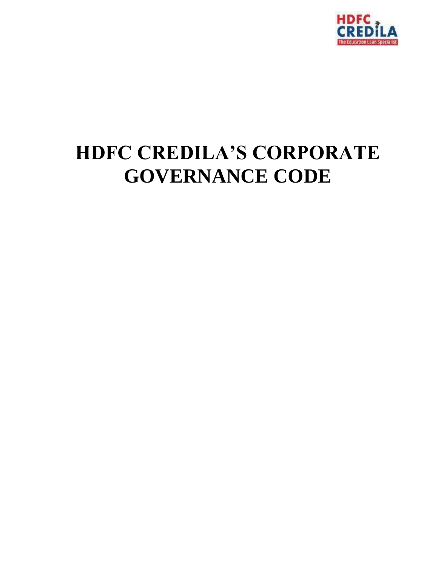

# **HDFC CREDILA'S CORPORATE GOVERNANCE CODE**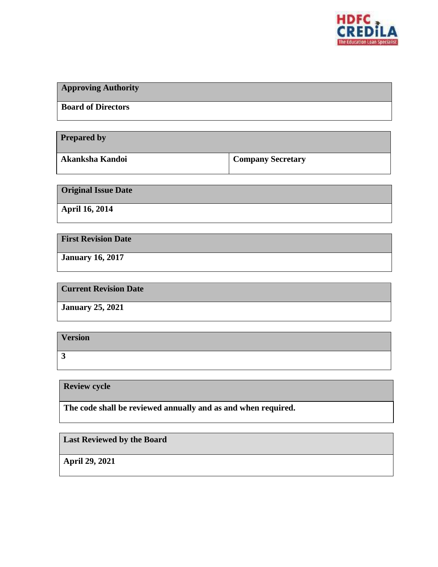

| <b>Approving Authority</b> |  |
|----------------------------|--|
| <b>Board of Directors</b>  |  |
|                            |  |

**Prepared by**

**Akanksha Kandoi Company Secretary**

**Original Issue Date**

**April 16, 2014**

**First Revision Date**

**January 16, 2017**

**Current Revision Date**

**January 25, 2021**

**Version 3**

**Review cycle**

**The code shall be reviewed annually and as and when required.**

**Last Reviewed by the Board**

**April 29, 2021**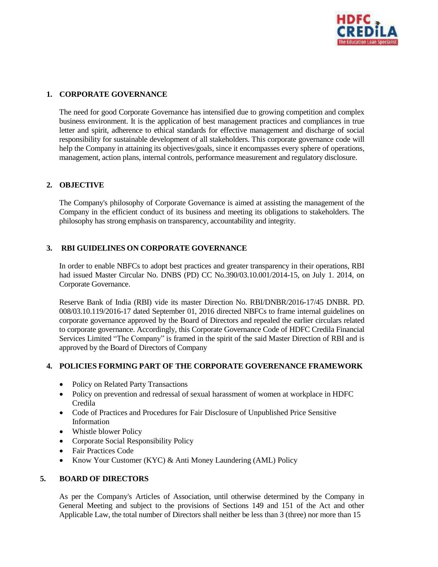

# **1. CORPORATE GOVERNANCE**

The need for good Corporate Governance has intensified due to growing competition and complex business environment. It is the application of best management practices and compliances in true letter and spirit, adherence to ethical standards for effective management and discharge of social responsibility for sustainable development of all stakeholders. This corporate governance code will help the Company in attaining its objectives/goals, since it encompasses every sphere of operations, management, action plans, internal controls, performance measurement and regulatory disclosure.

### **2. OBJECTIVE**

The Company's philosophy of Corporate Governance is aimed at assisting the management of the Company in the efficient conduct of its business and meeting its obligations to stakeholders. The philosophy has strong emphasis on transparency, accountability and integrity.

## **3. RBI GUIDELINES ON CORPORATE GOVERNANCE**

In order to enable NBFCs to adopt best practices and greater transparency in their operations, RBI had issued Master Circular No. DNBS (PD) CC No.390/03.10.001/2014-15, on July 1. 2014, on Corporate Governance.

Reserve Bank of India (RBI) vide its master Direction No. RBI/DNBR/2016-17/45 DNBR. PD. 008/03.10.119/2016-17 dated September 01, 2016 directed NBFCs to frame internal guidelines on corporate governance approved by the Board of Directors and repealed the earlier circulars related to corporate governance. Accordingly, this Corporate Governance Code of HDFC Credila Financial Services Limited "The Company" is framed in the spirit of the said Master Direction of RBI and is approved by the Board of Directors of Company

# **4. POLICIES FORMING PART OF THE CORPORATE GOVERENANCE FRAMEWORK**

- Policy on Related Party Transactions
- Policy on prevention and redressal of sexual harassment of women at workplace in HDFC Credila
- Code of Practices and Procedures for Fair Disclosure of Unpublished Price Sensitive Information
- Whistle blower Policy
- Corporate Social Responsibility Policy
- Fair Practices Code
- Know Your Customer (KYC) & Anti Money Laundering (AML) Policy

### **5. BOARD OF DIRECTORS**

As per the Company's Articles of Association, until otherwise determined by the Company in General Meeting and subject to the provisions of Sections 149 and 151 of the Act and other Applicable Law, the total number of Directors shall neither be less than 3 (three) nor more than 15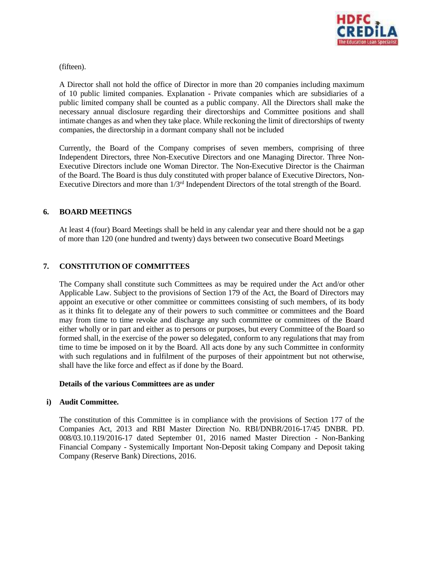

(fifteen).

A Director shall not hold the office of Director in more than 20 companies including maximum of 10 public limited companies. Explanation - Private companies which are subsidiaries of a public limited company shall be counted as a public company. All the Directors shall make the necessary annual disclosure regarding their directorships and Committee positions and shall intimate changes as and when they take place. While reckoning the limit of directorships of twenty companies, the directorship in a dormant company shall not be included

Currently, the Board of the Company comprises of seven members, comprising of three Independent Directors, three Non-Executive Directors and one Managing Director. Three Non-Executive Directors include one Woman Director. The Non-Executive Director is the Chairman of the Board. The Board is thus duly constituted with proper balance of Executive Directors, Non-Executive Directors and more than 1/3rd Independent Directors of the total strength of the Board.

### **6. BOARD MEETINGS**

At least 4 (four) Board Meetings shall be held in any calendar year and there should not be a gap of more than 120 (one hundred and twenty) days between two consecutive Board Meetings

# **7. CONSTITUTION OF COMMITTEES**

The Company shall constitute such Committees as may be required under the Act and/or other Applicable Law. Subject to the provisions of Section 179 of the Act, the Board of Directors may appoint an executive or other committee or committees consisting of such members, of its body as it thinks fit to delegate any of their powers to such committee or committees and the Board may from time to time revoke and discharge any such committee or committees of the Board either wholly or in part and either as to persons or purposes, but every Committee of the Board so formed shall, in the exercise of the power so delegated, conform to any regulations that may from time to time be imposed on it by the Board. All acts done by any such Committee in conformity with such regulations and in fulfilment of the purposes of their appointment but not otherwise, shall have the like force and effect as if done by the Board.

#### **Details of the various Committees are as under**

### **i) Audit Committee.**

The constitution of this Committee is in compliance with the provisions of Section 177 of the Companies Act, 2013 and RBI Master Direction No. RBI/DNBR/2016-17/45 DNBR. PD. 008/03.10.119/2016-17 dated September 01, 2016 named Master Direction - Non-Banking Financial Company - Systemically Important Non-Deposit taking Company and Deposit taking Company (Reserve Bank) Directions, 2016.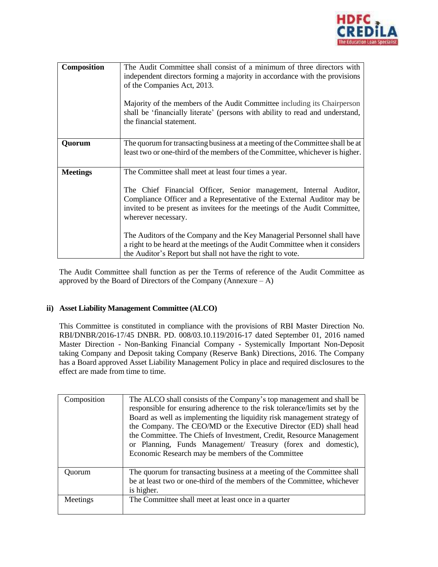

| Composition     | The Audit Committee shall consist of a minimum of three directors with<br>independent directors forming a majority in accordance with the provisions<br>of the Companies Act, 2013.<br>Majority of the members of the Audit Committee including its Chairperson<br>shall be 'financially literate' (persons with ability to read and understand,<br>the financial statement.                                                                                                                                                      |
|-----------------|-----------------------------------------------------------------------------------------------------------------------------------------------------------------------------------------------------------------------------------------------------------------------------------------------------------------------------------------------------------------------------------------------------------------------------------------------------------------------------------------------------------------------------------|
| Quorum          | The quorum for transacting business at a meeting of the Committee shall be at<br>least two or one-third of the members of the Committee, whichever is higher.                                                                                                                                                                                                                                                                                                                                                                     |
| <b>Meetings</b> | The Committee shall meet at least four times a year.<br>The Chief Financial Officer, Senior management, Internal Auditor,<br>Compliance Officer and a Representative of the External Auditor may be<br>invited to be present as invitees for the meetings of the Audit Committee,<br>wherever necessary.<br>The Auditors of the Company and the Key Managerial Personnel shall have<br>a right to be heard at the meetings of the Audit Committee when it considers<br>the Auditor's Report but shall not have the right to vote. |

The Audit Committee shall function as per the Terms of reference of the Audit Committee as approved by the Board of Directors of the Company (Annexure  $- A$ )

### **ii) Asset Liability Management Committee (ALCO)**

This Committee is constituted in compliance with the provisions of RBI Master Direction No. RBI/DNBR/2016-17/45 DNBR. PD. 008/03.10.119/2016-17 dated September 01, 2016 named Master Direction - Non-Banking Financial Company - Systemically Important Non-Deposit taking Company and Deposit taking Company (Reserve Bank) Directions, 2016. The Company has a Board approved Asset Liability Management Policy in place and required disclosures to the effect are made from time to time.

| Composition | The ALCO shall consists of the Company's top management and shall be<br>responsible for ensuring adherence to the risk tolerance/limits set by the<br>Board as well as implementing the liquidity risk management strategy of<br>the Company. The CEO/MD or the Executive Director (ED) shall head<br>the Committee. The Chiefs of Investment, Credit, Resource Management<br>or Planning, Funds Management/ Treasury (forex and domestic),<br>Economic Research may be members of the Committee |
|-------------|--------------------------------------------------------------------------------------------------------------------------------------------------------------------------------------------------------------------------------------------------------------------------------------------------------------------------------------------------------------------------------------------------------------------------------------------------------------------------------------------------|
| Ouorum      | The quorum for transacting business at a meeting of the Committee shall<br>be at least two or one-third of the members of the Committee, whichever<br>is higher.                                                                                                                                                                                                                                                                                                                                 |
| Meetings    | The Committee shall meet at least once in a quarter                                                                                                                                                                                                                                                                                                                                                                                                                                              |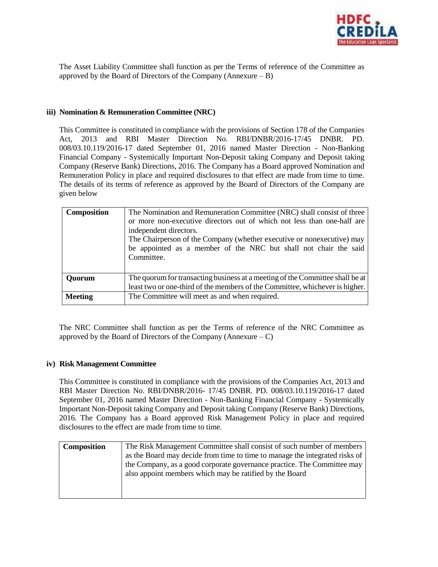

The Asset Liability Committee shall function as per the Terms of reference of the Committee as approved by the Board of Directors of the Company (Annexure  $- B$ )

## **iii) Nomination & Remuneration Committee (NRC)**

This Committee is constituted in compliance with the provisions of Section 178 of the Companies Act, 2013 and RBI Master Direction No. RBI/DNBR/2016-17/45 DNBR. PD. 008/03.10.119/2016-17 dated September 01, 2016 named Master Direction - Non-Banking Financial Company - Systemically Important Non-Deposit taking Company and Deposit taking Company (Reserve Bank) Directions, 2016. The Company has a Board approved Nomination and Remuneration Policy in place and required disclosures to that effect are made from time to time. The details of its terms of reference as approved by the Board of Directors of the Company are given below

| <b>Composition</b> | The Nomination and Remuneration Committee (NRC) shall consist of three<br>or more non-executive directors out of which not less than one-half are<br>independent directors.<br>The Chairperson of the Company (whether executive or nonexecutive) may<br>be appointed as a member of the NRC but shall not chair the said<br>Committee. |
|--------------------|-----------------------------------------------------------------------------------------------------------------------------------------------------------------------------------------------------------------------------------------------------------------------------------------------------------------------------------------|
| <b>Ouorum</b>      | The quorum for transacting business at a meeting of the Committee shall be at  <br>least two or one-third of the members of the Committee, whichever is higher.                                                                                                                                                                         |
| <b>Meeting</b>     | The Committee will meet as and when required.                                                                                                                                                                                                                                                                                           |

The NRC Committee shall function as per the Terms of reference of the NRC Committee as approved by the Board of Directors of the Company (Annexure  $- C$ )

### **iv) Risk Management Committee**

This Committee is constituted in compliance with the provisions of the Companies Act, 2013 and RBI Master Direction No. RBI/DNBR/2016- 17/45 DNBR. PD. 008/03.10.119/2016-17 dated September 01, 2016 named Master Direction - Non-Banking Financial Company - Systemically Important Non-Deposit taking Company and Deposit taking Company (Reserve Bank) Directions, 2016. The Company has a Board approved Risk Management Policy in place and required disclosures to the effect are made from time to time.

| The Risk Management Committee shall consist of such number of members       |  |
|-----------------------------------------------------------------------------|--|
| as the Board may decide from time to time to manage the integrated risks of |  |
| the Company, as a good corporate governance practice. The Committee may     |  |
| also appoint members which may be ratified by the Board                     |  |
|                                                                             |  |
|                                                                             |  |
|                                                                             |  |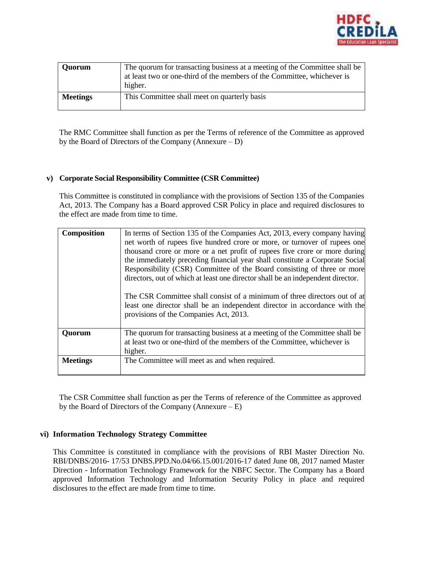

| <b>Quorum</b>   | The quorum for transacting business at a meeting of the Committee shall be<br>at least two or one-third of the members of the Committee, whichever is<br>higher. |
|-----------------|------------------------------------------------------------------------------------------------------------------------------------------------------------------|
| <b>Meetings</b> | This Committee shall meet on quarterly basis                                                                                                                     |

The RMC Committee shall function as per the Terms of reference of the Committee as approved by the Board of Directors of the Company (Annexure – D)

### **v) Corporate Social Responsibility Committee (CSR Committee)**

This Committee is constituted in compliance with the provisions of Section 135 of the Companies Act, 2013. The Company has a Board approved CSR Policy in place and required disclosures to the effect are made from time to time.

| Composition     | In terms of Section 135 of the Companies Act, 2013, every company having<br>net worth of rupees five hundred crore or more, or turnover of rupees one<br>thousand crore or more or a net profit of rupees five crore or more during        |
|-----------------|--------------------------------------------------------------------------------------------------------------------------------------------------------------------------------------------------------------------------------------------|
|                 | the immediately preceding financial year shall constitute a Corporate Social<br>Responsibility (CSR) Committee of the Board consisting of three or more<br>directors, out of which at least one director shall be an independent director. |
|                 | The CSR Committee shall consist of a minimum of three directors out of at<br>least one director shall be an independent director in accordance with the<br>provisions of the Companies Act, 2013.                                          |
| <b>Quorum</b>   | The quorum for transacting business at a meeting of the Committee shall be<br>at least two or one-third of the members of the Committee, whichever is<br>higher.                                                                           |
| <b>Meetings</b> | The Committee will meet as and when required.                                                                                                                                                                                              |

The CSR Committee shall function as per the Terms of reference of the Committee as approved by the Board of Directors of the Company (Annexure – E)

### **vi) Information Technology Strategy Committee**

This Committee is constituted in compliance with the provisions of RBI Master Direction No. RBI/DNBS/2016- 17/53 DNBS.PPD.No.04/66.15.001/2016-17 dated June 08, 2017 named Master Direction - Information Technology Framework for the NBFC Sector. The Company has a Board approved Information Technology and Information Security Policy in place and required disclosures to the effect are made from time to time.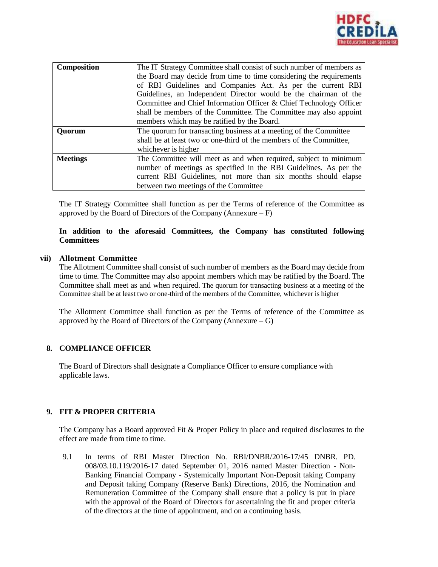

| Composition     | The IT Strategy Committee shall consist of such number of members as<br>the Board may decide from time to time considering the requirements<br>of RBI Guidelines and Companies Act. As per the current RBI<br>Guidelines, an Independent Director would be the chairman of the<br>Committee and Chief Information Officer & Chief Technology Officer<br>shall be members of the Committee. The Committee may also appoint<br>members which may be ratified by the Board. |
|-----------------|--------------------------------------------------------------------------------------------------------------------------------------------------------------------------------------------------------------------------------------------------------------------------------------------------------------------------------------------------------------------------------------------------------------------------------------------------------------------------|
| <b>Ouorum</b>   | The quorum for transacting business at a meeting of the Committee<br>shall be at least two or one-third of the members of the Committee,<br>whichever is higher                                                                                                                                                                                                                                                                                                          |
| <b>Meetings</b> | The Committee will meet as and when required, subject to minimum<br>number of meetings as specified in the RBI Guidelines. As per the<br>current RBI Guidelines, not more than six months should elapse<br>between two meetings of the Committee                                                                                                                                                                                                                         |

The IT Strategy Committee shall function as per the Terms of reference of the Committee as approved by the Board of Directors of the Company (Annexure –  $F$ )

### **In addition to the aforesaid Committees, the Company has constituted following Committees**

#### **vii) Allotment Committee**

The Allotment Committee shall consist of such number of members as the Board may decide from time to time. The Committee may also appoint members which may be ratified by the Board. The Committee shall meet as and when required. The quorum for transacting business at a meeting of the Committee shall be at least two or one-third of the members of the Committee, whichever is higher

The Allotment Committee shall function as per the Terms of reference of the Committee as approved by the Board of Directors of the Company (Annexure – G)

### **8. COMPLIANCE OFFICER**

The Board of Directors shall designate a Compliance Officer to ensure compliance with applicable laws.

### **9. FIT & PROPER CRITERIA**

The Company has a Board approved Fit & Proper Policy in place and required disclosures to the effect are made from time to time.

9.1 In terms of RBI Master Direction No. RBI/DNBR/2016-17/45 DNBR. PD. 008/03.10.119/2016-17 dated September 01, 2016 named Master Direction - Non-Banking Financial Company - Systemically Important Non-Deposit taking Company and Deposit taking Company (Reserve Bank) Directions, 2016, the Nomination and Remuneration Committee of the Company shall ensure that a policy is put in place with the approval of the Board of Directors for ascertaining the fit and proper criteria of the directors at the time of appointment, and on a continuing basis.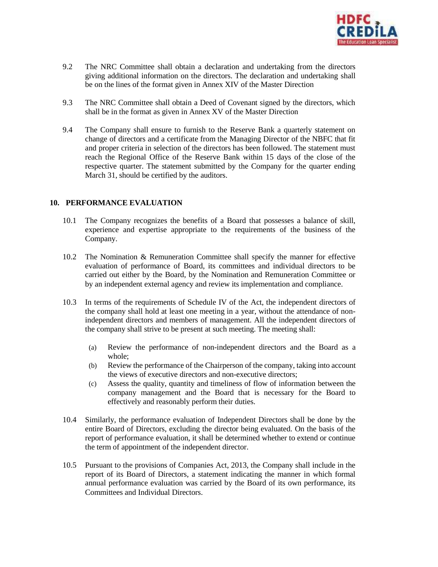

- 9.2 The NRC Committee shall obtain a declaration and undertaking from the directors giving additional information on the directors. The declaration and undertaking shall be on the lines of the format given in Annex XIV of the Master Direction
- 9.3 The NRC Committee shall obtain a Deed of Covenant signed by the directors, which shall be in the format as given in Annex XV of the Master Direction
- 9.4 The Company shall ensure to furnish to the Reserve Bank a quarterly statement on change of directors and a certificate from the Managing Director of the NBFC that fit and proper criteria in selection of the directors has been followed. The statement must reach the Regional Office of the Reserve Bank within 15 days of the close of the respective quarter. The statement submitted by the Company for the quarter ending March 31, should be certified by the auditors.

#### **10. PERFORMANCE EVALUATION**

- 10.1 The Company recognizes the benefits of a Board that possesses a balance of skill, experience and expertise appropriate to the requirements of the business of the Company.
- 10.2 The Nomination & Remuneration Committee shall specify the manner for effective evaluation of performance of Board, its committees and individual directors to be carried out either by the Board, by the Nomination and Remuneration Committee or by an independent external agency and review its implementation and compliance.
- 10.3 In terms of the requirements of Schedule IV of the Act, the independent directors of the company shall hold at least one meeting in a year, without the attendance of nonindependent directors and members of management. All the independent directors of the company shall strive to be present at such meeting. The meeting shall:
	- (a) Review the performance of non-independent directors and the Board as a whole;
	- (b) Review the performance of the Chairperson of the company, taking into account the views of executive directors and non-executive directors;
	- (c) Assess the quality, quantity and timeliness of flow of information between the company management and the Board that is necessary for the Board to effectively and reasonably perform their duties.
- 10.4 Similarly, the performance evaluation of Independent Directors shall be done by the entire Board of Directors, excluding the director being evaluated. On the basis of the report of performance evaluation, it shall be determined whether to extend or continue the term of appointment of the independent director.
- 10.5 Pursuant to the provisions of Companies Act, 2013, the Company shall include in the report of its Board of Directors, a statement indicating the manner in which formal annual performance evaluation was carried by the Board of its own performance, its Committees and Individual Directors.